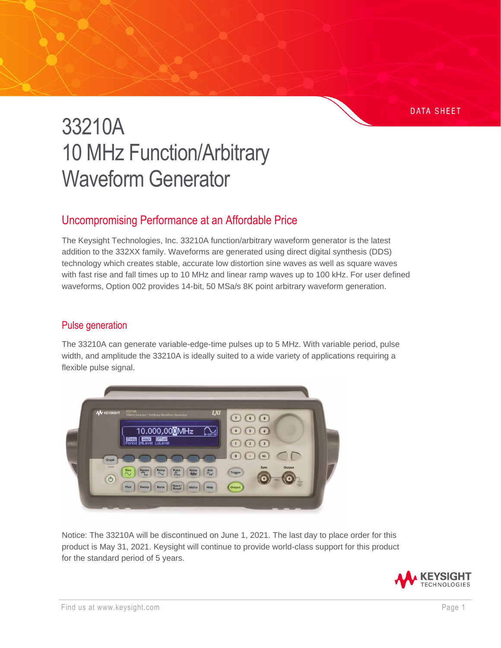#### **DATA SHEET**

# 33210A 10 MHz Function/Arbitrary Waveform Generator

## Uncompromising Performance at an Affordable Price

The Keysight Technologies, Inc. 33210A function/arbitrary waveform generator is the latest addition to the 332XX family. Waveforms are generated using direct digital synthesis (DDS) technology which creates stable, accurate low distortion sine waves as well as square waves with fast rise and fall times up to 10 MHz and linear ramp waves up to 100 kHz. For user defined waveforms, Option 002 provides 14-bit, 50 MSa/s 8K point arbitrary waveform generation.

## Pulse generation

The 33210A can generate variable-edge-time pulses up to 5 MHz. With variable period, pulse width, and amplitude the 33210A is ideally suited to a wide variety of applications requiring a flexible pulse signal.



Notice: The 33210A will be discontinued on June 1, 2021. The last day to place order for this product is May 31, 2021. Keysight will continue to provide world-class support for this product for the standard period of 5 years.

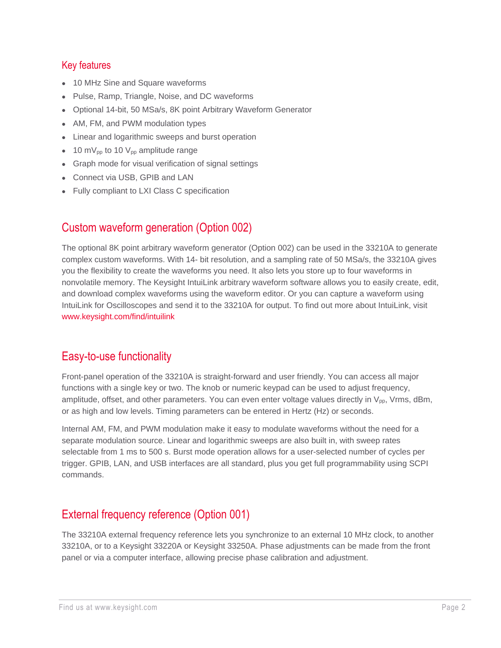## Key features

- 10 MHz Sine and Square waveforms
- Pulse, Ramp, Triangle, Noise, and DC waveforms
- Optional 14-bit, 50 MSa/s, 8K point Arbitrary Waveform Generator
- AM, FM, and PWM modulation types
- Linear and logarithmic sweeps and burst operation
- 10 m $V_{pp}$  to 10  $V_{pp}$  amplitude range
- Graph mode for visual verification of signal settings
- Connect via USB, GPIB and LAN
- Fully compliant to LXI Class C specification

## Custom waveform generation (Option 002)

The optional 8K point arbitrary waveform generator (Option 002) can be used in the 33210A to generate complex custom waveforms. With 14- bit resolution, and a sampling rate of 50 MSa/s, the 33210A gives you the flexibility to create the waveforms you need. It also lets you store up to four waveforms in nonvolatile memory. The Keysight IntuiLink arbitrary waveform software allows you to easily create, edit, and download complex waveforms using the waveform editor. Or you can capture a waveform using IntuiLink for Oscilloscopes and send it to the 33210A for output. To find out more about IntuiLink, visi[t](http://www.keysight.com/find/intuilink) [www.keysight.com/find/intuilink](http://www.keysight.com/find/intuilink)

## Easy-to-use functionality

Front-panel operation of the 33210A is straight-forward and user friendly. You can access all major functions with a single key or two. The knob or numeric keypad can be used to adjust frequency, amplitude, offset, and other parameters. You can even enter voltage values directly in  $V_{pp}$ , Vrms, dBm, or as high and low levels. Timing parameters can be entered in Hertz (Hz) or seconds.

Internal AM, FM, and PWM modulation make it easy to modulate waveforms without the need for a separate modulation source. Linear and logarithmic sweeps are also built in, with sweep rates selectable from 1 ms to 500 s. Burst mode operation allows for a user-selected number of cycles per trigger. GPIB, LAN, and USB interfaces are all standard, plus you get full programmability using SCPI commands.

# External frequency reference (Option 001)

The 33210A external frequency reference lets you synchronize to an external 10 MHz clock, to another 33210A, or to a Keysight 33220A or Keysight 33250A. Phase adjustments can be made from the front panel or via a computer interface, allowing precise phase calibration and adjustment.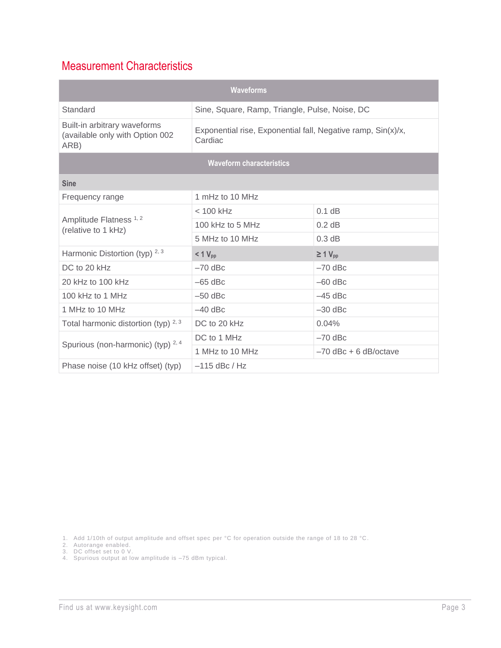# Measurement Characteristics

| <b>Waveforms</b>                                                        |                                                                         |                          |
|-------------------------------------------------------------------------|-------------------------------------------------------------------------|--------------------------|
| Standard                                                                | Sine, Square, Ramp, Triangle, Pulse, Noise, DC                          |                          |
| Built-in arbitrary waveforms<br>(available only with Option 002<br>ARB) | Exponential rise, Exponential fall, Negative ramp, Sin(x)/x,<br>Cardiac |                          |
| <b>Waveform characteristics</b>                                         |                                                                         |                          |
| <b>Sine</b>                                                             |                                                                         |                          |
| Frequency range                                                         | 1 mHz to 10 MHz                                                         |                          |
| Amplitude Flatness <sup>1,2</sup><br>(relative to 1 kHz)                | $< 100$ kHz                                                             | $0.1$ dB                 |
|                                                                         | 100 kHz to 5 MHz                                                        | $0.2$ dB                 |
|                                                                         | 5 MHz to 10 MHz                                                         | 0.3 dB                   |
| Harmonic Distortion (typ) $2,3$                                         | $< 1 V_{\text{pp}}$                                                     | $\geq 1$ V <sub>pp</sub> |
| DC to 20 kHz                                                            | $-70$ dBc                                                               | $-70$ dBc                |
| 20 kHz to 100 kHz                                                       | $-65$ dBc                                                               | $-60$ dBc                |
| 100 kHz to 1 MHz                                                        | $-50$ dBc                                                               | $-45$ dBc                |
| 1 MHz to 10 MHz                                                         | $-40$ dBc                                                               | $-30$ dBc                |
| Total harmonic distortion (typ) $2,3$                                   | DC to 20 kHz                                                            | 0.04%                    |
| Spurious (non-harmonic) (typ) $2, 4$                                    | DC to 1 MHz                                                             | $-70$ dBc                |
|                                                                         | 1 MHz to 10 MHz                                                         | $-70$ dBc + 6 dB/octave  |
| Phase noise (10 kHz offset) (typ)                                       | $-115$ dBc / Hz                                                         |                          |

1. Add 1/10th of output amplitude and offset spec per °C for operation outside the range of 18 to 28 °C.

2. Autorange enabled.

3. DC offset set to 0 V.

4. Spurious output at low amplitude is –75 dBm typical.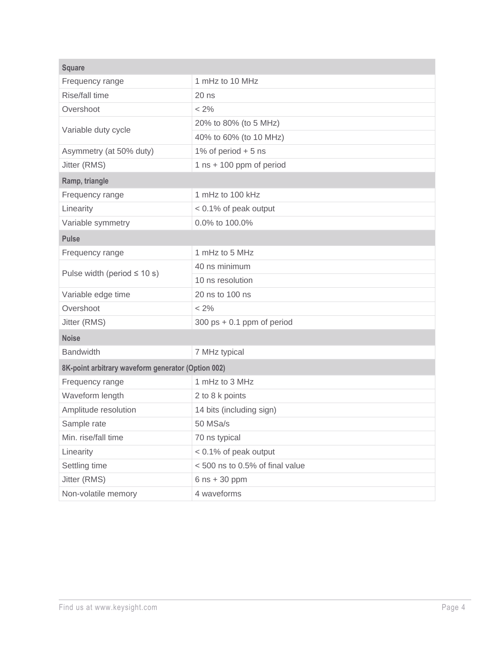| <b>Square</b>                                      |                                              |
|----------------------------------------------------|----------------------------------------------|
| Frequency range                                    | 1 mHz to 10 MHz                              |
| Rise/fall time                                     | $20$ ns                                      |
| Overshoot                                          | $< 2\%$                                      |
| Variable duty cycle                                | 20% to 80% (to 5 MHz)                        |
|                                                    | 40% to 60% (to 10 MHz)                       |
| Asymmetry (at 50% duty)                            | 1% of period $+5$ ns                         |
| Jitter (RMS)                                       | 1 $ns + 100$ ppm of period                   |
| Ramp, triangle                                     |                                              |
| Frequency range                                    | 1 mHz to 100 kHz                             |
| Linearity                                          | < 0.1% of peak output                        |
| Variable symmetry                                  | 0.0% to 100.0%                               |
| <b>Pulse</b>                                       |                                              |
| Frequency range                                    | 1 mHz to 5 MHz                               |
|                                                    | 40 ns minimum                                |
| Pulse width (period $\leq 10$ s)                   | 10 ns resolution                             |
| Variable edge time                                 | 20 ns to 100 ns                              |
| Overshoot                                          | $< 2\%$                                      |
| Jitter (RMS)                                       | $300 \text{ ps} + 0.1 \text{ ppm}$ of period |
| <b>Noise</b>                                       |                                              |
| <b>Bandwidth</b>                                   | 7 MHz typical                                |
| 8K-point arbitrary waveform generator (Option 002) |                                              |
| Frequency range                                    | 1 mHz to 3 MHz                               |
| Waveform length                                    | 2 to 8 k points                              |
| Amplitude resolution                               | 14 bits (including sign)                     |
| Sample rate                                        | 50 MSa/s                                     |
| Min. rise/fall time                                | 70 ns typical                                |
| Linearity                                          | < 0.1% of peak output                        |
| Settling time                                      | <500 ns to 0.5% of final value               |
| Jitter (RMS)                                       | $6$ ns + 30 ppm                              |
| Non-volatile memory                                | 4 waveforms                                  |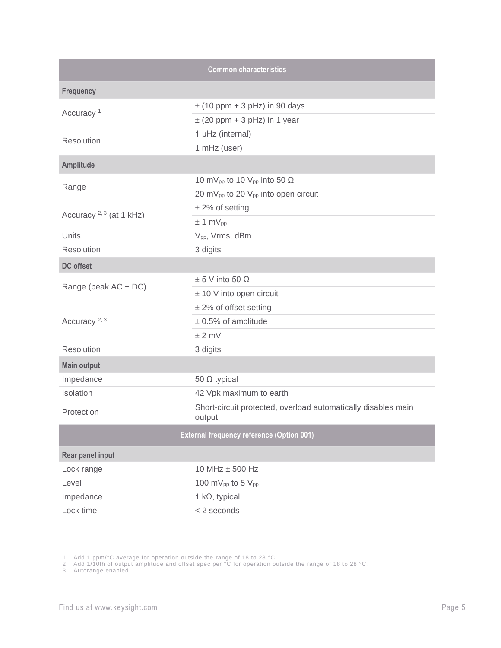|                                                  | <b>Common characteristics</b>                                           |
|--------------------------------------------------|-------------------------------------------------------------------------|
| <b>Frequency</b>                                 |                                                                         |
| Accuracy <sup>1</sup>                            | $\pm$ (10 ppm + 3 pHz) in 90 days                                       |
|                                                  | $\pm$ (20 ppm + 3 pHz) in 1 year                                        |
| Resolution                                       | 1 µHz (internal)                                                        |
|                                                  | 1 mHz (user)                                                            |
| <b>Amplitude</b>                                 |                                                                         |
|                                                  | 10 mV <sub>pp</sub> to 10 V <sub>pp</sub> into 50 $\Omega$              |
| Range                                            | 20 mV <sub>pp</sub> to 20 V <sub>pp</sub> into open circuit             |
|                                                  | $± 2\%$ of setting                                                      |
| Accuracy <sup>2, 3</sup> (at 1 kHz)              | ± 1 mV <sub>pp</sub>                                                    |
| Units                                            | V <sub>pp</sub> , Vrms, dBm                                             |
| Resolution                                       | 3 digits                                                                |
| <b>DC</b> offset                                 |                                                                         |
|                                                  | $± 5$ V into 50 $\Omega$                                                |
| Range (peak AC + DC)                             | ± 10 V into open circuit                                                |
|                                                  | $±$ 2% of offset setting                                                |
| Accuracy <sup>2, 3</sup>                         | $± 0.5%$ of amplitude                                                   |
|                                                  | $±2$ mV                                                                 |
| Resolution                                       | 3 digits                                                                |
| <b>Main output</b>                               |                                                                         |
| Impedance                                        | 50 Ω typical                                                            |
| Isolation                                        | 42 Vpk maximum to earth                                                 |
| Protection                                       | Short-circuit protected, overload automatically disables main<br>output |
| <b>External frequency reference (Option 001)</b> |                                                                         |
| Rear panel input                                 |                                                                         |
| Lock range                                       | 10 MHz ± 500 Hz                                                         |
| Level                                            | 100 mV <sub>pp</sub> to 5 $V_{pp}$                                      |
| Impedance                                        | 1 k $\Omega$ , typical                                                  |
| Lock time                                        | < 2 seconds                                                             |

1. Add 1 ppm/°C average for operation outside the range of 18 to 28 °C.

2. Add 1/10th of output amplitude and offset spec per °C for operation outside the range of 18 to 28 °C .

3. Autorange enabled.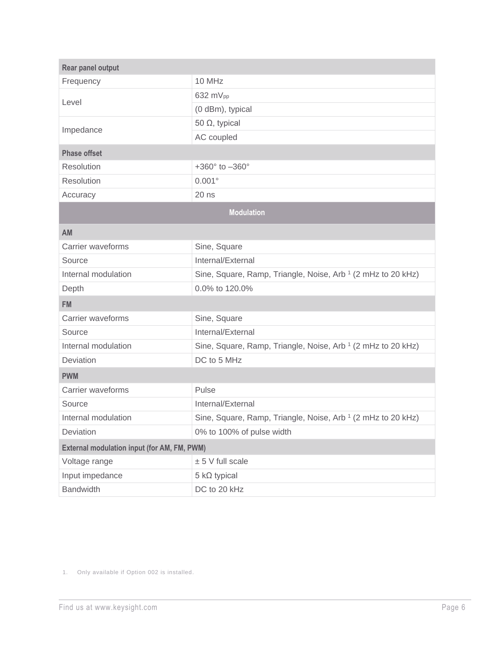| Rear panel output                           |                                                                         |
|---------------------------------------------|-------------------------------------------------------------------------|
| Frequency                                   | 10 MHz                                                                  |
| Level                                       | 632 $mV_{pp}$                                                           |
|                                             | (0 dBm), typical                                                        |
| Impedance                                   | 50 $\Omega$ , typical                                                   |
|                                             | AC coupled                                                              |
| <b>Phase offset</b>                         |                                                                         |
| Resolution                                  | +360 $^{\circ}$ to $-360^{\circ}$                                       |
| Resolution                                  | $0.001^{\circ}$                                                         |
| Accuracy                                    | $20$ ns                                                                 |
|                                             | <b>Modulation</b>                                                       |
| AM                                          |                                                                         |
| Carrier waveforms                           | Sine, Square                                                            |
| Source                                      | Internal/External                                                       |
| Internal modulation                         | Sine, Square, Ramp, Triangle, Noise, Arb <sup>1</sup> (2 mHz to 20 kHz) |
| Depth                                       | 0.0% to 120.0%                                                          |
| <b>FM</b>                                   |                                                                         |
| Carrier waveforms                           | Sine, Square                                                            |
| Source                                      | Internal/External                                                       |
| Internal modulation                         | Sine, Square, Ramp, Triangle, Noise, Arb <sup>1</sup> (2 mHz to 20 kHz) |
| Deviation                                   | DC to 5 MHz                                                             |
| <b>PWM</b>                                  |                                                                         |
| Carrier waveforms                           | Pulse                                                                   |
| Source                                      | Internal/External                                                       |
| Internal modulation                         | Sine, Square, Ramp, Triangle, Noise, Arb <sup>1</sup> (2 mHz to 20 kHz) |
| Deviation                                   | 0% to 100% of pulse width                                               |
| External modulation input (for AM, FM, PWM) |                                                                         |
| Voltage range                               | $± 5$ V full scale                                                      |
| Input impedance                             | $5 \text{ k}\Omega$ typical                                             |
| <b>Bandwidth</b>                            | DC to 20 kHz                                                            |

1. Only available if Option 002 is installed.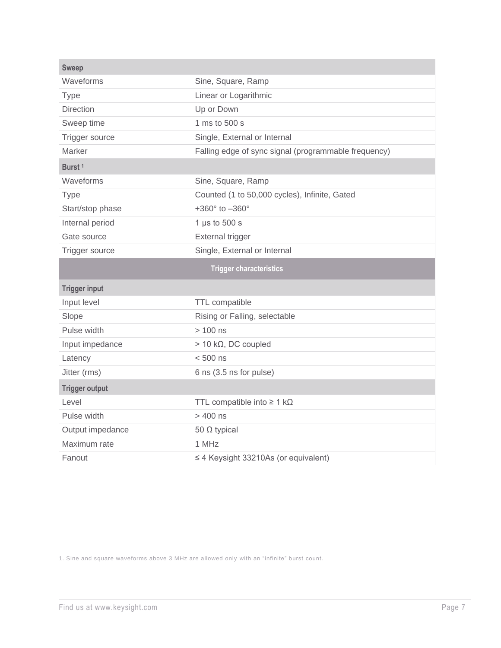| <b>Sweep</b>          |                                                      |
|-----------------------|------------------------------------------------------|
| Waveforms             | Sine, Square, Ramp                                   |
| <b>Type</b>           | Linear or Logarithmic                                |
| <b>Direction</b>      | Up or Down                                           |
| Sweep time            | 1 ms to 500 s                                        |
| Trigger source        | Single, External or Internal                         |
| Marker                | Falling edge of sync signal (programmable frequency) |
| Burst <sup>1</sup>    |                                                      |
| Waveforms             | Sine, Square, Ramp                                   |
| <b>Type</b>           | Counted (1 to 50,000 cycles), Infinite, Gated        |
| Start/stop phase      | $+360^{\circ}$ to $-360^{\circ}$                     |
| Internal period       | 1 $\mu$ s to 500 s                                   |
| Gate source           | External trigger                                     |
| Trigger source        | Single, External or Internal                         |
|                       |                                                      |
|                       | <b>Trigger characteristics</b>                       |
| <b>Trigger input</b>  |                                                      |
| Input level           | <b>TTL</b> compatible                                |
| Slope                 | Rising or Falling, selectable                        |
| Pulse width           | $> 100$ ns                                           |
| Input impedance       | $> 10 \text{ k}\Omega$ , DC coupled                  |
| Latency               | $< 500$ ns                                           |
| Jitter (rms)          | 6 ns (3.5 ns for pulse)                              |
| <b>Trigger output</b> |                                                      |
| Level                 | TTL compatible into $\geq 1$ k $\Omega$              |
| Pulse width           | $>400$ ns                                            |
| Output impedance      | 50 $\Omega$ typical                                  |
| Maximum rate          | 1 MHz                                                |

1. Sine and square waveforms above 3 MHz are allowed only with an "infinite" burst count.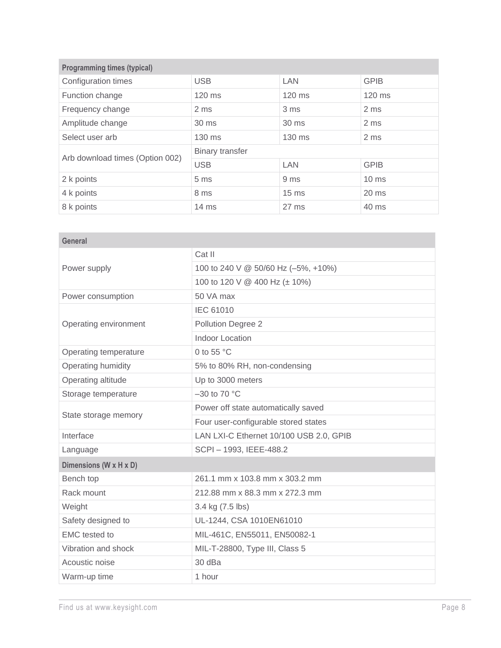| <b>Programming times (typical)</b> |                        |                  |                 |
|------------------------------------|------------------------|------------------|-----------------|
| Configuration times                | <b>USB</b>             | <b>LAN</b>       | <b>GPIB</b>     |
| Function change                    | 120 ms                 | $120$ ms         | $120$ ms        |
| Frequency change                   | 2 <sub>ms</sub>        | 3 <sub>ms</sub>  | 2 <sub>ms</sub> |
| Amplitude change                   | 30 ms                  | 30 ms            | 2 ms            |
| Select user arb                    | $130 \text{ ms}$       | $130$ ms         | 2 ms            |
|                                    | <b>Binary transfer</b> |                  |                 |
| Arb download times (Option 002)    | <b>USB</b>             | <b>LAN</b>       | <b>GPIB</b>     |
| 2 k points                         | 5 <sub>ms</sub>        | 9 ms             | $10 \text{ ms}$ |
| 4 k points                         | 8 ms                   | 15 <sub>ms</sub> | $20 \text{ ms}$ |
| 8 k points                         | $14 \text{ ms}$        | $27 \text{ ms}$  | 40 ms           |

| Cat II                                  |
|-----------------------------------------|
| 100 to 240 V @ 50/60 Hz (-5%, +10%)     |
| 100 to 120 V @ 400 Hz (± 10%)           |
| 50 VA max                               |
| <b>IEC 61010</b>                        |
| Pollution Degree 2                      |
| Indoor Location                         |
| 0 to 55 $\degree$ C                     |
| 5% to 80% RH, non-condensing            |
| Up to 3000 meters                       |
| $-30$ to 70 °C                          |
| Power off state automatically saved     |
| Four user-configurable stored states    |
| LAN LXI-C Ethernet 10/100 USB 2.0, GPIB |
| SCPI-1993, IEEE-488.2                   |
|                                         |
| 261.1 mm x 103.8 mm x 303.2 mm          |
| 212.88 mm x 88.3 mm x 272.3 mm          |
| 3.4 kg (7.5 lbs)                        |
| UL-1244, CSA 1010EN61010                |
| MIL-461C, EN55011, EN50082-1            |
| MIL-T-28800, Type III, Class 5          |
| 30 dBa                                  |
| 1 hour                                  |
|                                         |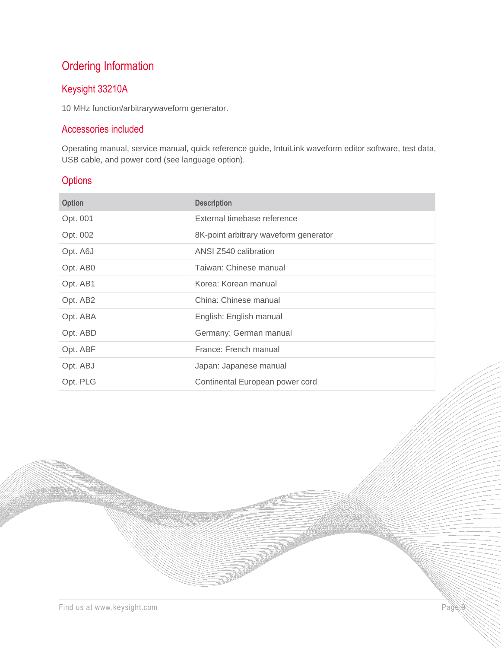# Ordering Information

## Keysight 33210A

10 MHz function/arbitrarywaveform generator.

## Accessories included

Operating manual, service manual, quick reference guide, IntuiLink waveform editor software, test data, USB cable, and power cord (see language option).

#### **Options**

| <b>Option</b> | <b>Description</b>                    |
|---------------|---------------------------------------|
| Opt. 001      | External timebase reference           |
| Opt. 002      | 8K-point arbitrary waveform generator |
| Opt. A6J      | ANSI Z540 calibration                 |
| Opt. AB0      | Taiwan: Chinese manual                |
| Opt. AB1      | Korea: Korean manual                  |
| Opt. AB2      | China: Chinese manual                 |
| Opt. ABA      | English: English manual               |
| Opt. ABD      | Germany: German manual                |
| Opt. ABF      | France: French manual                 |
| Opt. ABJ      | Japan: Japanese manual                |
| Opt. PLG      | Continental European power cord       |

W